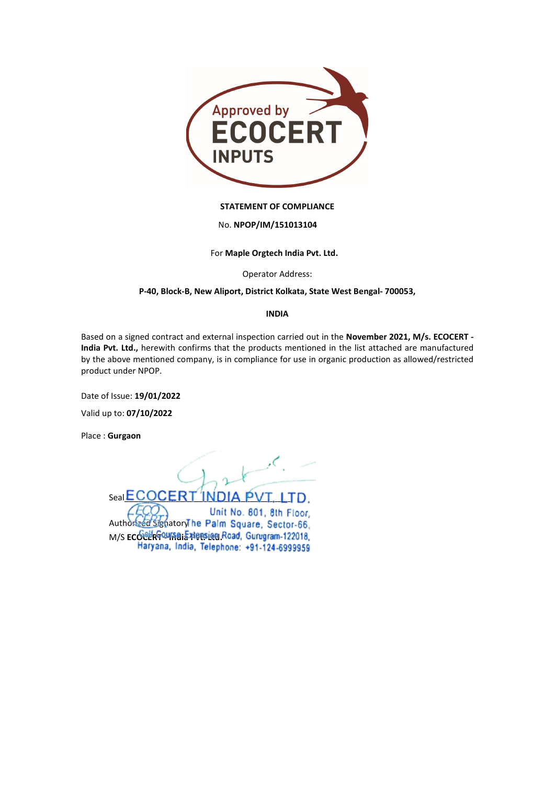

### STATEMENT OF COMPLIANCE

### No. NPOP/IM/151013104

For Maple Orgtech India Pvt. Ltd.

Operator Address:

# P-40, Block-B, New Aliport, District Kolkata, State West Bengal- 700053,

### INDIA

Based on a signed contract and external inspection carried out in the November 2021, M/s. ECOCERT - India Pvt. Ltd., herewith confirms that the products mentioned in the list attached are manufactured by the above mentioned company, is in compliance for use in organic production as allowed/restricted product under NPOP.

Date of Issue: 19/01/2022

Valid up to: 07/10/2022

Place : Gurgaon

 $\mathcal{L}$ Seal ECOCERT INDIA PVT. LTD. Unit No. 801, 8th Floor. Authorized Signatory he Palm Square, Sector-66. M/S ECOPH COUSE Extension Road, Gurugram-122018,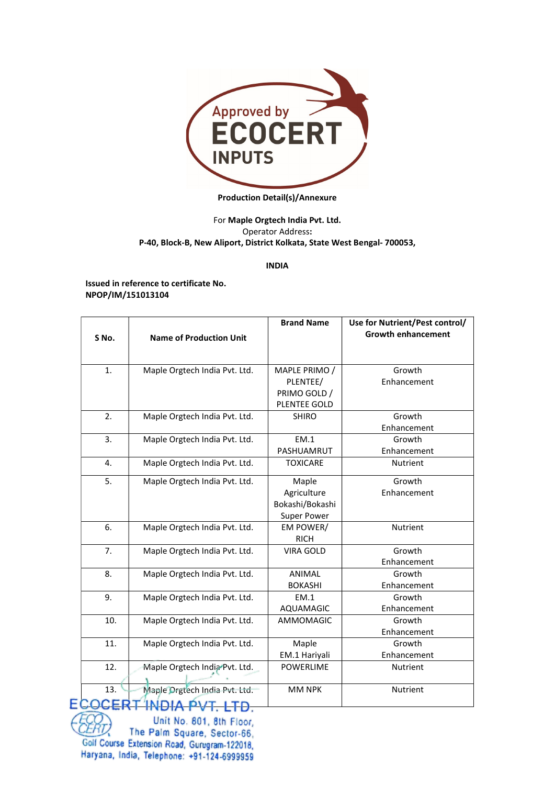

### Production Detail(s)/Annexure

# For Maple Orgtech India Pvt. Ltd. Operator Address: P-40, Block-B, New Aliport, District Kolkata, State West Bengal- 700053,

## INDIA

Issued in reference to certificate No. NPOP/IM/151013104

| S No.            | <b>Name of Production Unit</b> | <b>Brand Name</b>                                             | Use for Nutrient/Pest control/<br><b>Growth enhancement</b> |
|------------------|--------------------------------|---------------------------------------------------------------|-------------------------------------------------------------|
| 1.               | Maple Orgtech India Pvt. Ltd.  | MAPLE PRIMO /<br>PLENTEE/                                     | Growth<br>Enhancement                                       |
|                  |                                | PRIMO GOLD /<br>PLENTEE GOLD                                  |                                                             |
| 2.               | Maple Orgtech India Pvt. Ltd.  | <b>SHIRO</b>                                                  | Growth<br>Enhancement                                       |
| 3.               | Maple Orgtech India Pvt. Ltd.  | EM.1<br>PASHUAMRUT                                            | Growth<br>Enhancement                                       |
| $\overline{4}$ . | Maple Orgtech India Pvt. Ltd.  | <b>TOXICARE</b>                                               | <b>Nutrient</b>                                             |
| 5.               | Maple Orgtech India Pvt. Ltd.  | Maple<br>Agriculture<br>Bokashi/Bokashi<br><b>Super Power</b> | Growth<br>Enhancement                                       |
| 6.               | Maple Orgtech India Pvt. Ltd.  | EM POWER/<br><b>RICH</b>                                      | Nutrient                                                    |
| 7.               | Maple Orgtech India Pvt. Ltd.  | <b>VIRA GOLD</b>                                              | Growth<br>Enhancement                                       |
| 8.               | Maple Orgtech India Pvt. Ltd.  | <b>ANIMAL</b><br><b>BOKASHI</b>                               | Growth<br>Enhancement                                       |
| 9.               | Maple Orgtech India Pvt. Ltd.  | EM.1<br>AQUAMAGIC                                             | Growth<br>Enhancement                                       |
| 10.              | Maple Orgtech India Pvt. Ltd.  | AMMOMAGIC                                                     | Growth<br>Enhancement                                       |
| 11.              | Maple Orgtech India Pvt. Ltd.  | Maple<br>EM.1 Hariyali                                        | Growth<br>Enhancement                                       |
| 12.              | Maple Orgtech India Pvt. Ltd.  | <b>POWERLIME</b>                                              | <b>Nutrient</b>                                             |
| 13.              | Maple Orgtech India Pvt. Ltd.  | <b>MM NPK</b>                                                 | <b>Nutrient</b>                                             |

Unit No. 801, 8th Floor, ERT) The Palm Square, Sector-66, Golf Course Extension Road, Gurugram-122018, Haryana, India, Telephone: +91-124-6999959